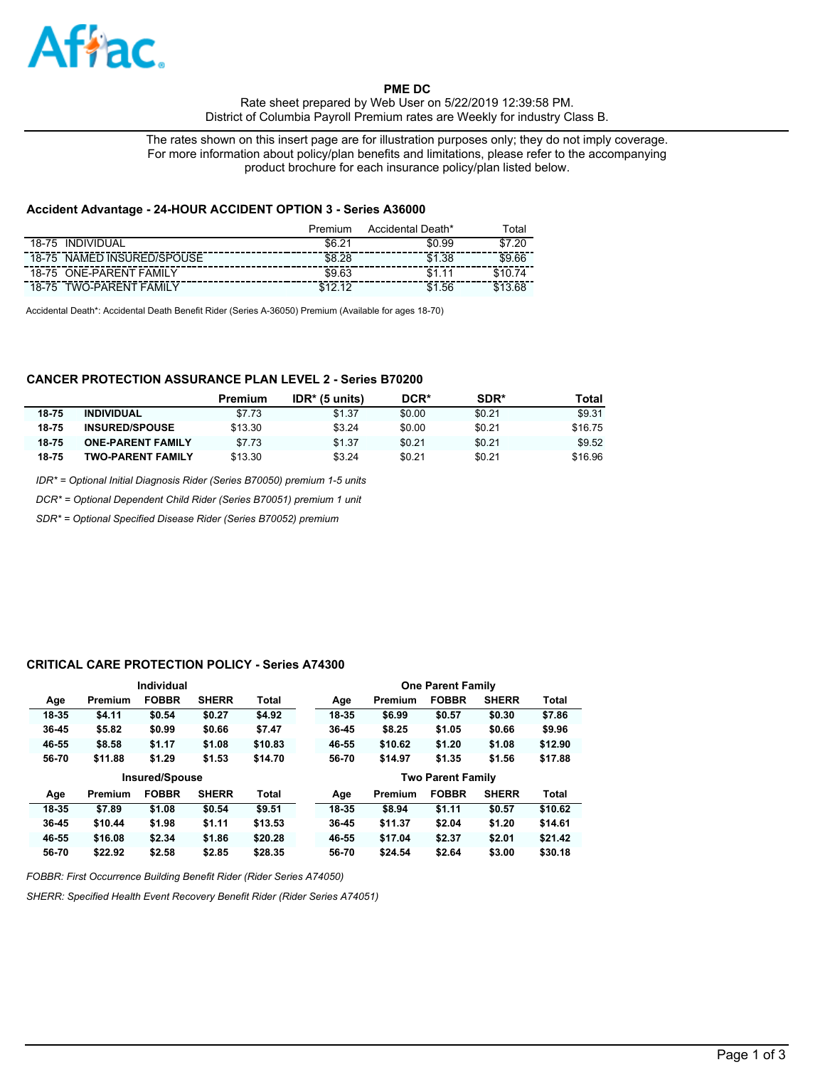

**PME DC** 

Rate sheet prepared by Web User on 5/22/2019 12:39:58 PM. District of Columbia Payroll Premium rates are Weekly for industry Class B.

The rates shown on this insert page are for illustration purposes only; they do not imply coverage. For more information about policy/plan benefits and limitations, please refer to the accompanying product brochure for each insurance policy/plan listed below.

#### **Accident Advantage - 24-HOUR ACCIDENT OPTION 3 - Series A36000**

|                                          | Premium    | Accidental Death* | ™otal                         |
|------------------------------------------|------------|-------------------|-------------------------------|
| <b>INDIVIDUAL</b><br>18-75               | \$6.2<br>ີ | \$0.99            | .2 <sup>c</sup><br><b>C</b> 7 |
| NAMED INSURED/SPOUSE<br>$18 - 75$        | \$8.28     | \$1<br>.38        | \$9.66                        |
| <b>ONE-PARENT FAMILY</b><br>$18 - 75$    | \$9.63     | \$1               |                               |
| TWO-PARENT<br><b>FAMILY</b><br>$18 - 75$ |            | .56<br>\$1        |                               |

Accidental Death\*: Accidental Death Benefit Rider (Series A-36050) Premium (Available for ages 18-70)

# **CANCER PROTECTION ASSURANCE PLAN LEVEL 2 - Series B70200**

|       |                          | Premium | $IDR*$ (5 units) | DCR*   | SDR*   | Total   |
|-------|--------------------------|---------|------------------|--------|--------|---------|
| 18-75 | <b>INDIVIDUAL</b>        | \$7.73  | \$1.37           | \$0.00 | \$0.21 | \$9.31  |
| 18-75 | <b>INSURED/SPOUSE</b>    | \$13.30 | \$3.24           | \$0.00 | \$0.21 | \$16.75 |
| 18-75 | <b>ONE-PARENT FAMILY</b> | \$7.73  | \$1.37           | \$0.21 | \$0.21 | \$9.52  |
| 18-75 | <b>TWO-PARENT FAMILY</b> | \$13.30 | \$3.24           | \$0.21 | \$0.21 | \$16.96 |

*IDR\* = Optional Initial Diagnosis Rider (Series B70050) premium 1-5 units*

*DCR\* = Optional Dependent Child Rider (Series B70051) premium 1 unit*

*SDR\* = Optional Specified Disease Rider (Series B70052) premium*

#### **CRITICAL CARE PROTECTION POLICY - Series A74300**

|           |         | Individual            |              |              |       |         | <b>One Parent Family</b> |              |         |
|-----------|---------|-----------------------|--------------|--------------|-------|---------|--------------------------|--------------|---------|
| Age       | Premium | <b>FOBBR</b>          | <b>SHERR</b> | <b>Total</b> | Age   | Premium | <b>FOBBR</b>             | <b>SHERR</b> | Total   |
| 18-35     | \$4.11  | \$0.54                | \$0.27       | \$4.92       | 18-35 | \$6.99  | \$0.57                   | \$0.30       | \$7.86  |
| $36 - 45$ | \$5.82  | \$0.99                | \$0.66       | \$7.47       | 36-45 | \$8.25  | \$1.05                   | \$0.66       | \$9.96  |
| 46-55     | \$8.58  | \$1.17                | \$1.08       | \$10.83      | 46-55 | \$10.62 | \$1,20                   | \$1.08       | \$12.90 |
| 56-70     | \$11.88 | \$1.29                | \$1.53       | \$14.70      | 56-70 | \$14.97 | \$1.35                   | \$1.56       | \$17.88 |
|           |         |                       |              |              |       |         |                          |              |         |
|           |         | <b>Insured/Spouse</b> |              |              |       |         | <b>Two Parent Family</b> |              |         |
| Age       | Premium | <b>FOBBR</b>          | <b>SHERR</b> | <b>Total</b> | Age   | Premium | <b>FOBBR</b>             | <b>SHERR</b> | Total   |
| 18-35     | \$7.89  | \$1.08                | \$0.54       | \$9.51       | 18-35 | \$8.94  | \$1.11                   | \$0.57       | \$10.62 |
| $36 - 45$ | \$10.44 | \$1.98                | \$1.11       | \$13.53      | 36-45 | \$11.37 | \$2.04                   | \$1,20       | \$14.61 |
| 46-55     | \$16.08 | \$2.34                | \$1.86       | \$20.28      | 46-55 | \$17.04 | \$2.37                   | \$2.01       | \$21.42 |

*FOBBR: First Occurrence Building Benefit Rider (Rider Series A74050)*

*SHERR: Specified Health Event Recovery Benefit Rider (Rider Series A74051)*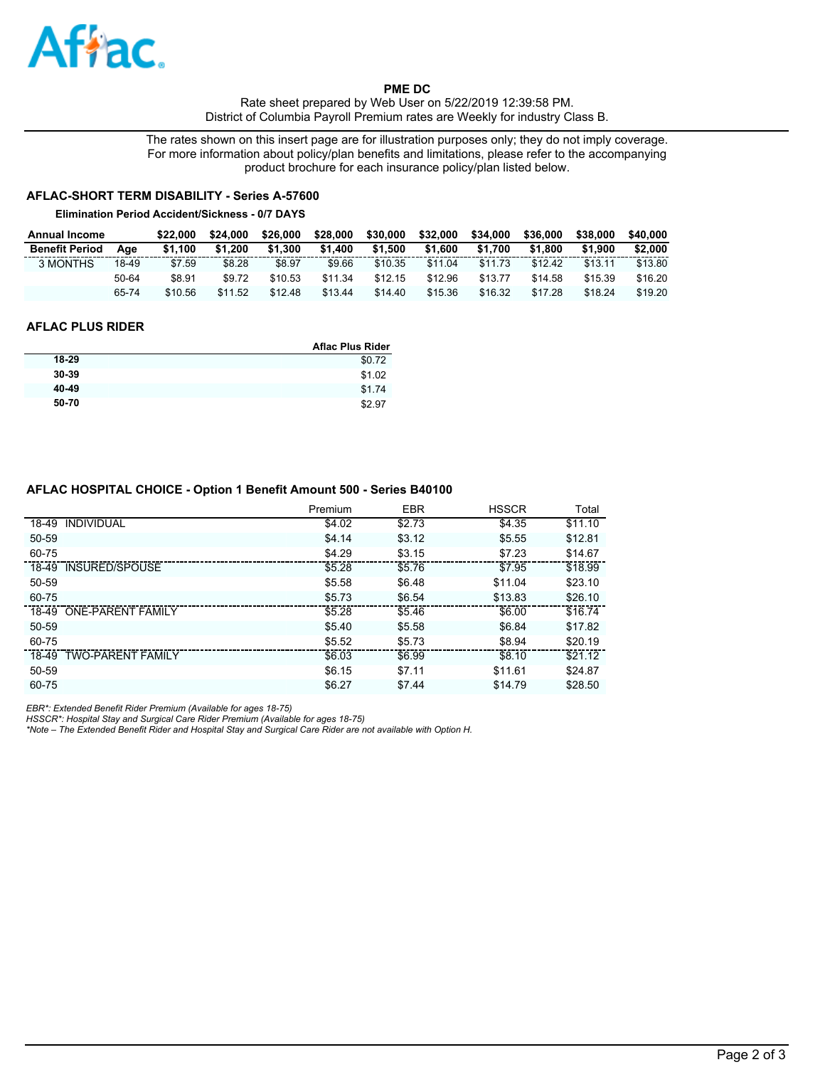

**PME DC**  Rate sheet prepared by Web User on 5/22/2019 12:39:58 PM. District of Columbia Payroll Premium rates are Weekly for industry Class B.

The rates shown on this insert page are for illustration purposes only; they do not imply coverage. For more information about policy/plan benefits and limitations, please refer to the accompanying product brochure for each insurance policy/plan listed below.

# **AFLAC-SHORT TERM DISABILITY - Series A-57600**

#### **Elimination Period Accident/Sickness - 0/7 DAYS**

| <b>Annual Income</b>  |       | \$22,000 | \$24.000 | \$26,000 | \$28,000 | \$30,000 | \$32,000 | \$34,000 | \$36,000 | \$38,000 | \$40.000 |
|-----------------------|-------|----------|----------|----------|----------|----------|----------|----------|----------|----------|----------|
| <b>Benefit Period</b> | Aae   | \$1.100  | \$1.200  | \$1.300  | \$1,400  | \$1.500  | \$1,600  | \$1.700  | \$1.800  | \$1.900  | \$2,000  |
| 3 MONTHS              | 18-49 | \$7.59   | \$8.28   | \$8.97   | \$9.66   | \$10.35  | \$11.04  | \$11.73  | \$12.42  | \$13.11  | \$13.80  |
|                       | 50-64 | \$8.91   | \$9.72   | \$10.53  | \$11.34  | \$12.15  | \$12.96  | \$13.77  | \$14.58  | \$15.39  | \$16.20  |
|                       | 65-74 | \$10.56  | \$11.52  | \$12.48  | \$13.44  | \$14.40  | \$15.36  | \$16.32  | \$17.28  | \$18.24  | \$19.20  |

## **AFLAC PLUS RIDER**

|       | <b>Aflac Plus Rider</b> |
|-------|-------------------------|
| 18-29 | \$0.72                  |
| 30-39 | \$1.02                  |
| 40-49 | \$1.74                  |
| 50-70 | \$2.97                  |

## **AFLAC HOSPITAL CHOICE - Option 1 Benefit Amount 500 - Series B40100**

|       |                          | Premium | <b>EBR</b> | <b>HSSCR</b> | Total   |
|-------|--------------------------|---------|------------|--------------|---------|
|       | 18-49 INDIVIDUAL         | \$4.02  | \$2.73     | \$4.35       | \$11.10 |
| 50-59 |                          | \$4.14  | \$3.12     | \$5.55       | \$12.81 |
| 60-75 |                          | \$4.29  | \$3.15     | \$7.23       | \$14.67 |
|       | 18-49 INSURED/SPOUSE     | \$5.28  | \$5.76     | \$7.95       | \$18.99 |
| 50-59 |                          | \$5.58  | \$6.48     | \$11.04      | \$23.10 |
| 60-75 |                          | \$5.73  | \$6.54     | \$13.83      | \$26.10 |
|       | 18-49 ONE-PARENT FAMILY  | \$5.28  | \$5.46     | \$6.00       | \$16.74 |
| 50-59 |                          | \$5.40  | \$5.58     | \$6.84       | \$17.82 |
| 60-75 |                          | \$5.52  | \$5.73     | \$8.94       | \$20.19 |
| 18-49 | <b>TWO-PARENT FAMILY</b> | \$6.03  | \$6.99     | \$8.10       | \$21.12 |
| 50-59 |                          | \$6.15  | \$7.11     | \$11.61      | \$24.87 |
| 60-75 |                          | \$6.27  | \$7.44     | \$14.79      | \$28.50 |

EBR\*: Extended Benefit Rider Premium (Available for ages 18-75)<br>HSSCR\*: Hospital Stay and Surgical Care Rider Premium (Available for ages 18-75)<br>\*Note – The Extended Benefit Rider and Hospital Stay and Surgical Care Rider